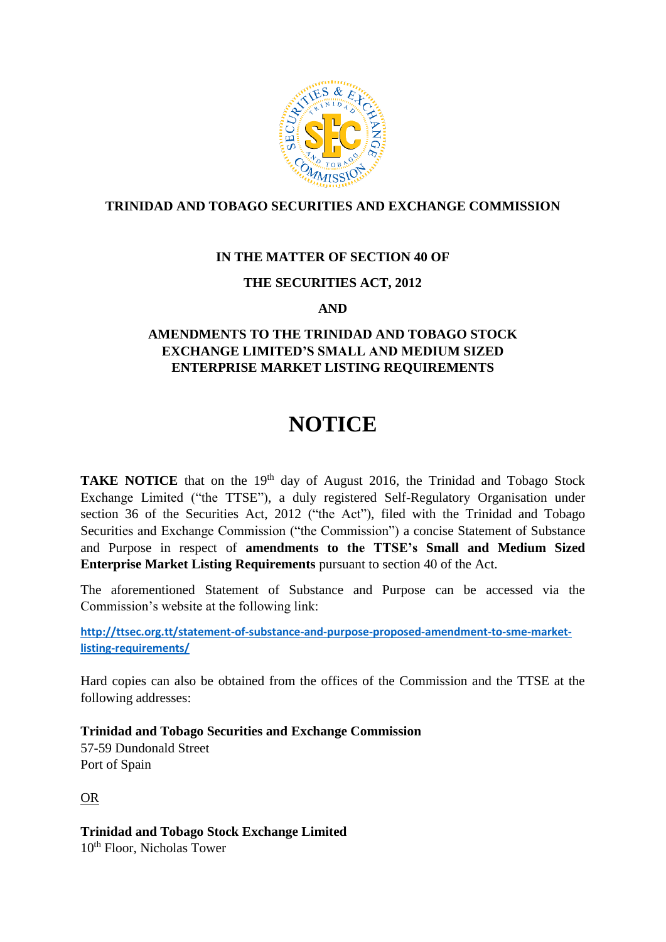

# **TRINIDAD AND TOBAGO SECURITIES AND EXCHANGE COMMISSION**

## **IN THE MATTER OF SECTION 40 OF**

## **THE SECURITIES ACT, 2012**

#### **AND**

## **AMENDMENTS TO THE TRINIDAD AND TOBAGO STOCK EXCHANGE LIMITED'S SMALL AND MEDIUM SIZED ENTERPRISE MARKET LISTING REQUIREMENTS**

# **NOTICE**

TAKE NOTICE that on the 19<sup>th</sup> day of August 2016, the Trinidad and Tobago Stock Exchange Limited ("the TTSE"), a duly registered Self-Regulatory Organisation under section 36 of the Securities Act, 2012 ("the Act"), filed with the Trinidad and Tobago Securities and Exchange Commission ("the Commission") a concise Statement of Substance and Purpose in respect of **amendments to the TTSE's Small and Medium Sized Enterprise Market Listing Requirements** pursuant to section 40 of the Act.

The aforementioned Statement of Substance and Purpose can be accessed via the Commission's website at the following link:

**[http://ttsec.org.tt/statement-of-substance-and-purpose-proposed-amendment-to-sme-market](http://ttsec.org.tt/statement-of-substance-and-purpose-proposed-amendment-to-sme-market-listing-requirements/)[listing-requirements/](http://ttsec.org.tt/statement-of-substance-and-purpose-proposed-amendment-to-sme-market-listing-requirements/)**

Hard copies can also be obtained from the offices of the Commission and the TTSE at the following addresses:

**Trinidad and Tobago Securities and Exchange Commission**

57-59 Dundonald Street Port of Spain

OR

**Trinidad and Tobago Stock Exchange Limited** 10<sup>th</sup> Floor, Nicholas Tower